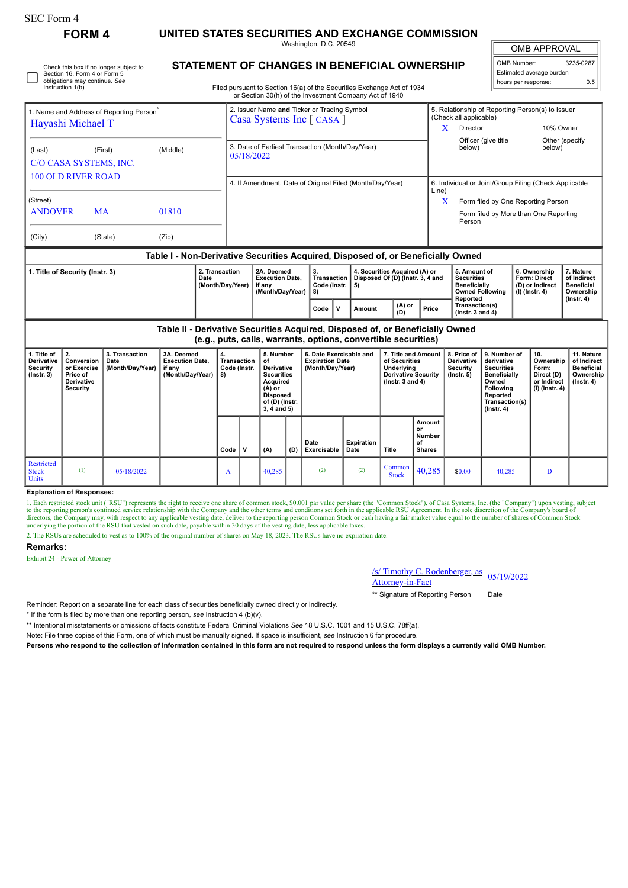| rorm |  |
|------|--|
|------|--|

**FORM 4 UNITED STATES SECURITIES AND EXCHANGE COMMISSION**

Washington, D.C. 20549

OMB APPROVAL

| OMB Number:              | 3235-0287 |
|--------------------------|-----------|
| Estimated average burden |           |
| hours per response:      | 0.5       |

| Check this box if no longer subject to |  |
|----------------------------------------|--|
| Section 16. Form 4 or Form 5           |  |
| obligations may continue. See          |  |
| Instruction 1(b).                      |  |
|                                        |  |
|                                        |  |

# **STATEMENT OF CHANGES IN BENEFICIAL OWNERSHIP**

Filed pursuant to Section 16(a) of the Securities Exchange Act of 1934<br>or Section 30(b) of the Investment Company Act of 1940  $\text{Serfinn } 30(\text{h})$  of the Investment

| Hayashi Michael T                                                                    | 1. Name and Address of Reporting Person <sup>®</sup> |  |            | 2. Issuer Name and Ticker or Trading Symbol<br>Casa Systems Inc [ CASA ] |                                   |                                                                         | 5. Relationship of Reporting Person(s) to Issuer<br>(Check all applicable) |                                                   |                                                        |                                               |  |
|--------------------------------------------------------------------------------------|------------------------------------------------------|--|------------|--------------------------------------------------------------------------|-----------------------------------|-------------------------------------------------------------------------|----------------------------------------------------------------------------|---------------------------------------------------|--------------------------------------------------------|-----------------------------------------------|--|
|                                                                                      |                                                      |  |            |                                                                          |                                   |                                                                         | X                                                                          | Director                                          | 10% Owner                                              |                                               |  |
| (Middle)<br>(Last)<br>(First)<br>C/O CASA SYSTEMS, INC.<br><b>100 OLD RIVER ROAD</b> |                                                      |  | 05/18/2022 | 3. Date of Earliest Transaction (Month/Day/Year)                         |                                   |                                                                         |                                                                            | Officer (give title<br>below)                     | below)                                                 | Other (specify                                |  |
|                                                                                      |                                                      |  |            | 4. If Amendment, Date of Original Filed (Month/Day/Year)                 |                                   |                                                                         | 6. Individual or Joint/Group Filing (Check Applicable<br>Line)             |                                                   |                                                        |                                               |  |
| (Street)                                                                             |                                                      |  |            |                                                                          |                                   |                                                                         | X                                                                          | Form filed by One Reporting Person                |                                                        |                                               |  |
| <b>ANDOVER</b><br>01810<br><b>MA</b>                                                 |                                                      |  |            |                                                                          |                                   |                                                                         |                                                                            | Form filed by More than One Reporting<br>Person   |                                                        |                                               |  |
| (City)<br>(State)<br>(Zip)                                                           |                                                      |  |            |                                                                          |                                   |                                                                         |                                                                            |                                                   |                                                        |                                               |  |
| Table I - Non-Derivative Securities Acquired, Disposed of, or Beneficially Owned     |                                                      |  |            |                                                                          |                                   |                                                                         |                                                                            |                                                   |                                                        |                                               |  |
| 2. Transaction<br>1. Title of Security (Instr. 3)<br>Date<br>(Month/Day/Year)        |                                                      |  |            | 2A. Deemed<br><b>Execution Date.</b><br>if anv                           | 3.<br>Transaction<br>Code (Instr. | 4. Securities Acquired (A) or<br>Disposed Of (D) (Instr. 3, 4 and<br>5) |                                                                            | 5. Amount of<br><b>Securities</b><br>Beneficially | 6. Ownership<br><b>Form: Direct</b><br>(D) or Indirect | 7. Nature<br>of Indirect<br><b>Beneficial</b> |  |

| (A) or<br>Transaction(s)<br>ιv<br>Price<br>Code<br>Amount<br>(D)<br>( $lnstr.$ 3 and 4) | Date<br>(Month/Dav/Year) | <b>Execution Date.</b><br>if anv<br>(Month/Dav/Year) | Transaction I<br>Code (Instr.<br>-8) |  | Disposed Of (D) (Instr. 3. 4 and<br>5) |  | <b>Securities</b><br><b>Beneficially</b><br><b>Owned Following</b><br>Reported | <b>Form: Direct</b><br>(D) or Indirect<br>(I) (Instr. 4) | of Indirect<br><b>Beneficial</b><br>Ownership<br>$($ lnstr. 4 $)$ |  |
|-----------------------------------------------------------------------------------------|--------------------------|------------------------------------------------------|--------------------------------------|--|----------------------------------------|--|--------------------------------------------------------------------------------|----------------------------------------------------------|-------------------------------------------------------------------|--|
|                                                                                         |                          |                                                      |                                      |  |                                        |  |                                                                                |                                                          |                                                                   |  |

**Table II - Derivative Securities Acquired, Disposed of, or Beneficially Owned (e.g., puts, calls, warrants, options, convertible securities)**

| .                                                                |                                                                                        |                                            |                                                                    |                                         |   |                                                                                                                              |     |                                                                       |                    |                                                                                                          |                                                      |                                                                   |                                                                                                                                                       |                                                                          |                                                                                 |
|------------------------------------------------------------------|----------------------------------------------------------------------------------------|--------------------------------------------|--------------------------------------------------------------------|-----------------------------------------|---|------------------------------------------------------------------------------------------------------------------------------|-----|-----------------------------------------------------------------------|--------------------|----------------------------------------------------------------------------------------------------------|------------------------------------------------------|-------------------------------------------------------------------|-------------------------------------------------------------------------------------------------------------------------------------------------------|--------------------------------------------------------------------------|---------------------------------------------------------------------------------|
| 1. Title of<br><b>Derivative</b><br>Security<br>$($ lnstr. 3 $)$ | $\mathbf{2}$<br>Conversion<br>or Exercise<br>Price of<br><b>Derivative</b><br>Security | 3. Transaction<br>Date<br>(Month/Day/Year) | 3A. Deemed<br><b>Execution Date,</b><br>if any<br>(Month/Day/Year) | 4.<br>Transaction<br>Code (Instr.<br>8) |   | 5. Number<br>of<br><b>Derivative</b><br>Securities<br>Acquired<br>(A) or<br><b>Disposed</b><br>of (D) (Instr.<br>3, 4 and 5) |     | 6. Date Exercisable and<br><b>Expiration Date</b><br>(Month/Day/Year) |                    | 7. Title and Amount<br>of Securities<br>Underlying<br><b>Derivative Security</b><br>( $lnstr. 3 and 4$ ) |                                                      | 8. Price of<br><b>Derivative</b><br><b>Security</b><br>(Instr. 5) | 9. Number of<br>derivative<br><b>Securities</b><br><b>Beneficially</b><br>Owned<br><b>Following</b><br>Reported<br>Transaction(s)<br>$($ Instr. 4 $)$ | 10.<br>Ownership<br>Form:<br>Direct (D)<br>or Indirect<br>(I) (Instr. 4) | 11. Nature<br>of Indirect<br><b>Beneficial</b><br>Ownership<br>$($ Instr. 4 $)$ |
|                                                                  |                                                                                        |                                            |                                                                    | Code                                    | v | (A)                                                                                                                          | (D) | Date<br>Exercisable                                                   | Expiration<br>Date | Title                                                                                                    | <b>Amount</b><br>or<br>Number<br>οf<br><b>Shares</b> |                                                                   |                                                                                                                                                       |                                                                          |                                                                                 |
| Restricted<br><b>Stock</b><br><b>Units</b>                       | (1)                                                                                    | 05/18/2022                                 |                                                                    | A                                       |   | 40,285                                                                                                                       |     | (2)                                                                   | (2)                | Common<br><b>Stock</b>                                                                                   | 40,285                                               | \$0.00                                                            | 40,285                                                                                                                                                |                                                                          |                                                                                 |

### **Explanation of Responses:**

1. Each restricted stock unit ("RSU") represents the right to receive one share of common stock, \$0.001 par value per share (the "Common Stock"), of Casa Systems, Inc. (the "Company") upon vesting, subject to the reporting

2. The RSUs are scheduled to vest as to 100% of the original number of shares on May 18, 2023. The RSUs have no expiration date.

## **Remarks:**

Exhibit 24 - Power of Attorney

/s/ Timothy C. Rodenberger, as <u>S/ Timothy C. Kodenberger, as</u> 05/19/2022<br>Attorney-in-Fact

\*\* Signature of Reporting Person Date

Reminder: Report on a separate line for each class of securities beneficially owned directly or indirectly.

\* If the form is filed by more than one reporting person, *see* Instruction 4 (b)(v).

\*\* Intentional misstatements or omissions of facts constitute Federal Criminal Violations *See* 18 U.S.C. 1001 and 15 U.S.C. 78ff(a).

Note: File three copies of this Form, one of which must be manually signed. If space is insufficient, *see* Instruction 6 for procedure.

**Persons who respond to the collection of information contained in this form are not required to respond unless the form displays a currently valid OMB Number.**